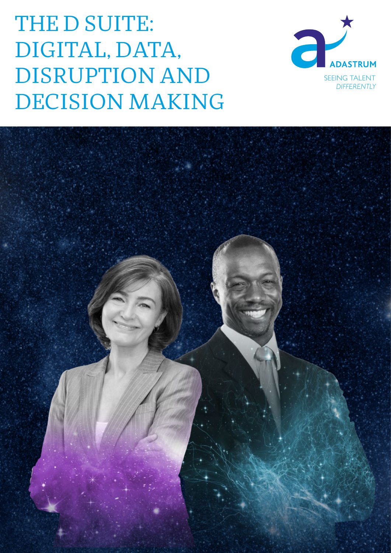# THE D SUITE: DIGITAL, DATA, DISRUPTION AND DECISION MAKING



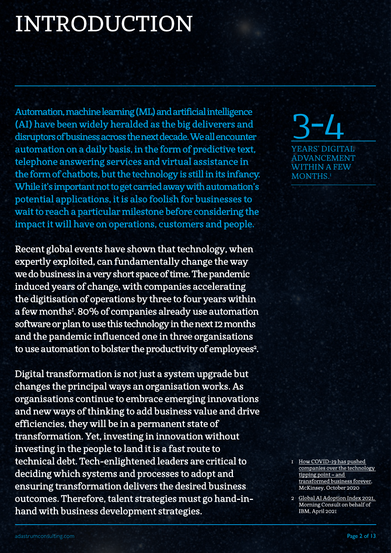# INTRODUCTION

Automation, machine learning (ML) and artificial intelligence (AI) have been widely heralded as the big deliverers and disruptors of business across the next decade. We all encounter automation on a daily basis, in the form of predictive text, telephone answering services and virtual assistance in the form of chatbots, but the technology is still in its infancy. While it's important not to get carried away with automation's potential applications, it is also foolish for businesses to wait to reach a particular milestone before considering the impact it will have on operations, customers and people.

Recent global events have shown that technology, when expertly exploited, can fundamentally change the way we do business in a very short space of time. The pandemic induced years of change, with companies accelerating the digitisation of operations by three to four years within a few months<sup>1</sup>. 80% of companies already use automation software or plan to use this technology in the next 12 months and the pandemic influenced one in three organisations to use automation to bolster the productivity of employees<sup>2</sup>.

Digital transformation is not just a system upgrade but changes the principal ways an organisation works. As organisations continue to embrace emerging innovations and new ways of thinking to add business value and drive efficiencies, they will be in a permanent state of transformation. Yet, investing in innovation without investing in the people to land it is a fast route to technical debt. Tech-enlightened leaders are critical to deciding which systems and processes to adopt and ensuring transformation delivers the desired business outcomes. Therefore, talent strategies must go hand-inhand with business development strategies.

3-4 YEARS' DIGITAL ADVANCEMENT WITHIN A FEW MONTHS.<sup>1</sup>

- 1 How COVID-19 has pushed<br>
companies over the technology<br>
tipping point and<br>
transformed business forever,<br>
McKinsey, October 2020<br>
2 Global AI Adoption Index 2021,<br>
Morning Consult on behalf of<br>
IBM, April 2021<br>
Page 2 [companies over the technology](https://www.mckinsey.com/business-functions/strategy-and-corporate-finance/our-insights/how-covid-19-has-pushed-companies-over-the-technology-tipping-point-and-transformed-business-forever)  [tipping point – and](https://www.mckinsey.com/business-functions/strategy-and-corporate-finance/our-insights/how-covid-19-has-pushed-companies-over-the-technology-tipping-point-and-transformed-business-forever)  [transformed business forever](https://www.mckinsey.com/business-functions/strategy-and-corporate-finance/our-insights/how-covid-19-has-pushed-companies-over-the-technology-tipping-point-and-transformed-business-forever), McKinsey, October 2020
- 2 [Global AI Adoption Index 2021,](https://newsroom.ibm.com/IBMs-Global-AI-Adoption-Index-2021) Morning Consult on behalf of IBM, April 2021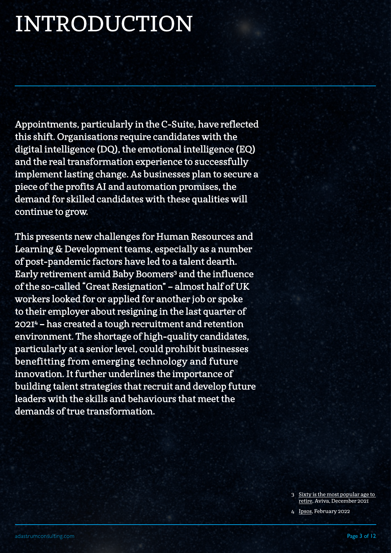# INTRODUCTION

Appointments, particularly in the C-Suite, have reflected this shift. Organisations require candidates with the digital intelligence (DQ), the emotional intelligence (EQ) and the real transformation experience to successfully implement lasting change. As businesses plan to secure a piece of the profits AI and automation promises, the demand for skilled candidates with these qualities will continue to grow.

This presents new challenges for Human Resources and Learning & Development teams, especially as a number of post-pandemic factors have led to a talent dearth. Early retirement amid Baby Boomers<sup>3</sup> and the influence of the so-called "Great Resignation" – almost half of UK workers looked for or applied for another job or spoke to their employer about resigning in the last quarter of 20214 – has created a tough recruitment and retention environment. The shortage of high-quality candidates, particularly at a senior level, could prohibit businesses benefitting from emerging technology and future innovation. It further underlines the importance of building talent strategies that recruit and develop future leaders with the skills and behaviours that meet the demands of true transformation.

> 3 Sixty is the most popular age to<br><u>retire,</u> Aviva, December 2021<br>4 Ipsos, February 2022<br>2 Page 3 of 12 [retire,](https://www.aviva.com/newsroom/news-releases/2021/12/sixty-the-most-popular-age-to-retire-early/) Aviva, December 2021

4 [Ipsos,](https://www.ipsos.com/en-uk/half-of-british-workers-have-considered-quitting-their-job) February 2022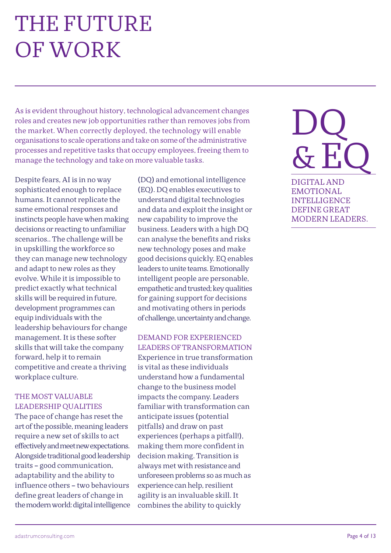### THE FUTURE OF WORK

As is evident throughout history, technological advancement changes roles and creates new job opportunities rather than removes jobs from the market. When correctly deployed, the technology will enable organisations to scale operations and take on some of the administrative processes and repetitive tasks that occupy employees, freeing them to manage the technology and take on more valuable tasks.

Despite fears, AI is in no way sophisticated enough to replace humans. It cannot replicate the same emotional responses and instincts people have when making decisions or reacting to unfamiliar scenarios.. The challenge will be in upskilling the workforce so they can manage new technology and adapt to new roles as they evolve. While it is impossible to predict exactly what technical skills will be required in future, development programmes can equip individuals with the leadership behaviours for change management. It is these softer skills that will take the company forward, help it to remain competitive and create a thriving workplace culture.

#### THE MOST VALUABLE LEADERSHIP QUALITIES

The pace of change has reset the art of the possible, meaning leaders require a new set of skills to act effectively and meet new expectations. Alongside traditional good leadership traits – good communication, adaptability and the ability to influence others – two behaviours define great leaders of change in the modern world: digital intelligence

(DQ) and emotional intelligence (EQ). DQ enables executives to understand digital technologies and data and exploit the insight or new capability to improve the business. Leaders with a high DQ can analyse the benefits and risks new technology poses and make good decisions quickly. EQ enables leaders to unite teams. Emotionally intelligent people are personable, empathetic and trusted; key qualities for gaining support for decisions and motivating others in periods of challenge, uncertainty and change.

DEMAND FOR EXPERIENCED LEADERS OF TRANSFORMATION Experience in true transformation is vital as these individuals understand how a fundamental change to the business model impacts the company. Leaders familiar with transformation can anticipate issues (potential pitfalls) and draw on past experiences (perhaps a pitfall!), making them more confident in decision making. Transition is always met with resistance and unforeseen problems so as much as experience can help, resilient agility is an invaluable skill. It combines the ability to quickly

# DQ  $\mathcal{S}$  F

DIGITAL AND EMOTIONAL INTELLIGENCE DEFINE GREAT MODERN LEADERS.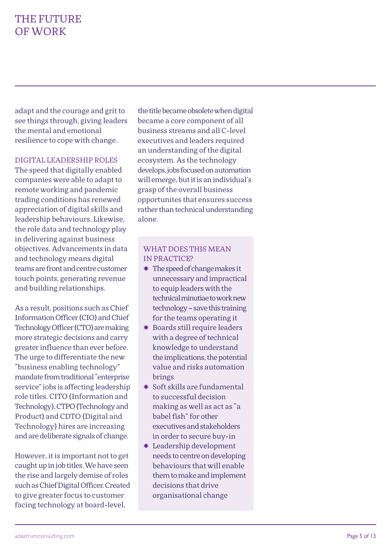### THE FUTURE OF WORK

adapt and the courage and grit to see things through, giving leaders the mental and emotional resilience to cope with change.

#### DIGITAL LEADERSHIP ROLES

The speed that digitally enabled companies were able to adapt to remote working and pandemic trading conditions has renewed appreciation of digital skills and leadership behaviours. Likewise, the role data and technology play in delivering against business objectives. Advancements in data and technology means digital teams are front and centre customer touch points, generating revenue and building relationships.

As a result, positions such as Chief Information Officer (CIO) and Chief Technology Officer (CTO) are making more strategic decisions and carry greater influence than ever before. The urge to differentiate the new "business enabling technology" mandate from traditional "enterprise service" jobs is affecting leadership role titles. CITO (Information and Technology), CTPO (Technology and Product) and CDTO (Digital and Technology) hires are increasing and are deliberate signals of change.

However, it is important not to get caught up in job titles. We have seen the rise and largely demise of roles such as Chief Digital Officer. Created to give greater focus to customer facing technology at board-level,

the title became obsolete when digital became a core component of all business streams and all C-level executives and leaders required an understanding of the digital ecosystem. As the technology develops, jobs focused on automation will emerge, but it is an individual's grasp of the overall business opportunites that ensures success rather than technical understanding alone.

- ✸ The speed of change makes it unnecessary and impractical to equip leaders with the technical minutiae to work new technology - save this training for the teams operating it
- ✸ Boards still require leaders with a degree of technical knowledge to understand the implications, the potential value and risks automation brings
- $*$  Soft skills are fundamental to successful decision making as well as act as "a babel fish" for other executives and stakeholders in order to secure buy-in
- ✸ Leadership development needs to centre on developing behaviours that will enable them to make and implement decisions that drive organisational change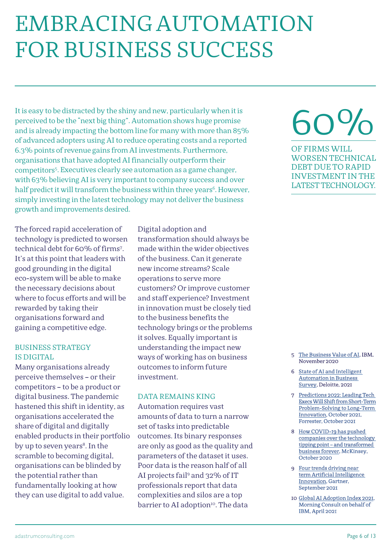# EMBRACING AUTOMATION FOR BUSINESS SUCCESS

It is easy to be distracted by the shiny and new, particularly when it is perceived to be the "next big thing". Automation shows huge promise and is already impacting the bottom line for many with more than 85% of advanced adopters using AI to reduce operating costs and a reported 6.3% points of revenue gains from AI investments. Furthermore, organisations that have adopted AI financially outperform their competitors5. Executives clearly see automation as a game changer, with 63% believing AI is very important to company success and over half predict it will transform the business within three years<sup>6</sup>. However, simply investing in the latest technology may not deliver the business growth and improvements desired.

The forced rapid acceleration of technology is predicted to worsen technical debt for 60% of firms7 . It's at this point that leaders with good grounding in the digital eco-system will be able to make the necessary decisions about where to focus efforts and will be rewarded by taking their organisations forward and gaining a competitive edge.

#### BUSINESS STRATEGY IS DIGITAL

Many organisations already perceive themselves – or their competitors – to be a product or digital business. The pandemic hastened this shift in identity, as organisations accelerated the share of digital and digitally enabled products in their portfolio by up to seven years<sup>8</sup>. In the scramble to becoming digital, organisations can be blinded by the potential rather than fundamentally looking at how they can use digital to add value.

Digital adoption and transformation should always be made within the wider objectives of the business. Can it generate new income streams? Scale operations to serve more customers? Or improve customer and staff experience? Investment in innovation must be closely tied to the business benefits the technology brings or the problems it solves. Equally important is understanding the impact new ways of working has on business outcomes to inform future investment.

#### DATA REMAINS KING

Automation requires vast amounts of data to turn a narrow set of tasks into predictable outcomes. Its binary responses are only as good as the quality and parameters of the dataset it uses. Poor data is the reason half of all AI projects fail<sup>9</sup> and 32% of IT professionals report that data complexities and silos are a top barrier to AI adoption<sup>10</sup>. The data

# 60%

OF FIRMS WILL WORSEN TECHNICAL DEBT DUE TO RAPID INVESTMENT IN THE LATEST TECHNOLOGY.

- 5 [The Business Value of AI](https://www.ibm.com/downloads/cas/ZENVBND4), IBM, November 2020
- 6 [State of AI and Intelligent](https://www2.deloitte.com/us/en/insights/focus/cognitive-technologies/state-of-ai-and-intelligent-automation-in-business-survey.html)  [Automation in Business](https://www2.deloitte.com/us/en/insights/focus/cognitive-technologies/state-of-ai-and-intelligent-automation-in-business-survey.html)  [Survey](https://www2.deloitte.com/us/en/insights/focus/cognitive-technologies/state-of-ai-and-intelligent-automation-in-business-survey.html), Deloitte, 2021
- 7 [Predictions 2022: Leading Tech](https://www.forrester.com/blogs/predictions-2022-leading-tech-execs-will-shift-from-short-term-problem-solving-to-long-term-innovation/)  [Execs Will Shift from Short-Term](https://www.forrester.com/blogs/predictions-2022-leading-tech-execs-will-shift-from-short-term-problem-solving-to-long-term-innovation/)  [Problem-Solving to Long-Term](https://www.forrester.com/blogs/predictions-2022-leading-tech-execs-will-shift-from-short-term-problem-solving-to-long-term-innovation/)  [Innovation,](https://www.forrester.com/blogs/predictions-2022-leading-tech-execs-will-shift-from-short-term-problem-solving-to-long-term-innovation/) October 2021, Forrester, October 2021
- 8 [How COVID-19 has pushed](https://www.mckinsey.com/business-functions/strategy-and-corporate-finance/our-insights/how-covid-19-has-pushed-companies-over-the-technology-tipping-point-and-transformed-business-forever)  [companies over the technology](https://www.mckinsey.com/business-functions/strategy-and-corporate-finance/our-insights/how-covid-19-has-pushed-companies-over-the-technology-tipping-point-and-transformed-business-forever)  [tipping point – and transformed](https://www.mckinsey.com/business-functions/strategy-and-corporate-finance/our-insights/how-covid-19-has-pushed-companies-over-the-technology-tipping-point-and-transformed-business-forever) [business forever](https://www.mckinsey.com/business-functions/strategy-and-corporate-finance/our-insights/how-covid-19-has-pushed-companies-over-the-technology-tipping-point-and-transformed-business-forever), McKinsey, October 2020
- 9 [Four trends driving near](https://www.gartner.com/en/newsroom/press-releases/2021-09-07-gartner-identifies-four-trends-driving-near-term-artificial-intelligence-innovation)  [term Artificial Intelligence](https://www.gartner.com/en/newsroom/press-releases/2021-09-07-gartner-identifies-four-trends-driving-near-term-artificial-intelligence-innovation)  [Innovation,](https://www.gartner.com/en/newsroom/press-releases/2021-09-07-gartner-identifies-four-trends-driving-near-term-artificial-intelligence-innovation) Gartner, September 2021
- 10 [Global AI Adoption Index 2021,](https://newsroom.ibm.com/IBMs-Global-AI-Adoption-Index-2021) Morning Consult on behalf of IBM, April 2021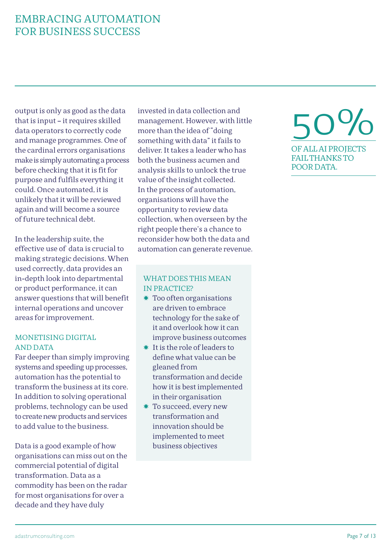### EMBRACING AUTOMATION FOR BUSINESS SUCCESS

output is only as good as the data that is input – it requires skilled data operators to correctly code and manage programmes. One of the cardinal errors organisations make is simply automating a process before checking that it is fit for purpose and fulfils everything it could. Once automated, it is unlikely that it will be reviewed again and will become a source of future technical debt.

In the leadership suite, the effective use of data is crucial to making strategic decisions. When used correctly, data provides an in-depth look into departmental or product performance, it can answer questions that will benefit internal operations and uncover areas for improvement.

#### MONETISING DIGITAL AND DATA

Far deeper than simply improving systems and speeding up processes, automation has the potential to transform the business at its core. In addition to solving operational problems, technology can be used to create new products and services to add value to the business.

Data is a good example of how organisations can miss out on the commercial potential of digital transformation. Data as a commodity has been on the radar for most organisations for over a decade and they have duly

invested in data collection and management. However, with little more than the idea of "doing something with data" it fails to deliver. It takes a leader who has both the business acumen and analysis skills to unlock the true value of the insight collected. In the process of automation, organisations will have the opportunity to review data collection, when overseen by the right people there's a chance to reconsider how both the data and automation can generate revenue.

#### WHAT DOES THIS MEAN IN PRACTICE?

- ✸ Too often organisations are driven to embrace technology for the sake of it and overlook how it can improve business outcomes
- ✸ It is the role of leaders to define what value can be gleaned from transformation and decide how it is best implemented in their organisation
- ✸ To succeed, every new transformation and innovation should be implemented to meet business objectives

### 50% OF ALL AI PROJECTS FAIL THANKS TO POOR DATA.

adastrumconsulting.com Page 7 of 13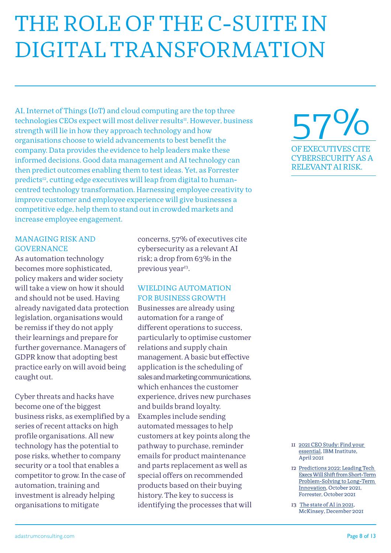# THE ROLE OF THE C-SUITE IN DIGITAL TRANSFORMATION

AI, Internet of Things (IoT) and cloud computing are the top three technologies CEOs expect will most deliver results<sup>11</sup>. However, business strength will lie in how they approach technology and how organisations choose to wield advancements to best benefit the company. Data provides the evidence to help leaders make these informed decisions. Good data management and AI technology can then predict outcomes enabling them to test ideas. Yet, as Forrester predicts<sup>12</sup>, cutting edge executives will leap from digital to humancentred technology transformation. Harnessing employee creativity to improve customer and employee experience will give businesses a competitive edge, help them to stand out in crowded markets and increase employee engagement.

#### MANAGING RISK AND GOVERNANCE

As automation technology becomes more sophisticated, policy makers and wider society will take a view on how it should and should not be used. Having already navigated data protection legislation, organisations would be remiss if they do not apply their learnings and prepare for further governance. Managers of GDPR know that adopting best practice early on will avoid being caught out.

Cyber threats and hacks have become one of the biggest business risks, as exemplified by a series of recent attacks on high profile organisations. All new technology has the potential to pose risks, whether to company security or a tool that enables a competitor to grow. In the case of automation, training and investment is already helping organisations to mitigate

concerns, 57% of executives cite cybersecurity as a relevant AI risk; a drop from 63% in the previous year<sup>13</sup>.

#### WIELDING AUTOMATION FOR BUSINESS GROWTH

Businesses are already using automation for a range of different operations to success, particularly to optimise customer relations and supply chain management. A basic but effective application is the scheduling of sales and marketing communications, which enhances the customer experience, drives new purchases and builds brand loyalty. Examples include sending automated messages to help customers at key points along the pathway to purchase, reminder emails for product maintenance and parts replacement as well as special offers on recommended products based on their buying history. The key to success is identifying the processes that will



- 11 [2021 CEO Study: Find your](https://www.ibm.com/thought-leadership/institute-business-value/c-suite-study/ceo)  [essential](https://www.ibm.com/thought-leadership/institute-business-value/c-suite-study/ceo), IBM Institute, April 2021
- 12 [Predictions 2022: Leading Tech](https://www.forrester.com/blogs/predictions-2022-leading-tech-execs-will-shift-from-short-term-problem-solving-to-long-term-innovation/)  [Execs Will Shift from Short-Term](https://www.forrester.com/blogs/predictions-2022-leading-tech-execs-will-shift-from-short-term-problem-solving-to-long-term-innovation/) [Problem-Solving to Long-Term](https://www.forrester.com/blogs/predictions-2022-leading-tech-execs-will-shift-from-short-term-problem-solving-to-long-term-innovation/)  [Innovation,](https://www.forrester.com/blogs/predictions-2022-leading-tech-execs-will-shift-from-short-term-problem-solving-to-long-term-innovation/) October 2021, Forrester, October 2021
- 13 [The state of AI in 2021](https://www.mckinsey.com/business-functions/mckinsey-analytics/our-insights/global-survey-the-state-of-ai-in-2021?cid=other-eml-alt-mip-mck&hdpid=a49d25a0-d35a-469f-af27-924cc9489e19&hctky=11764508&hlkid=190861b56ca740beb2de9b1d74cf9701), McKinsey, December 2021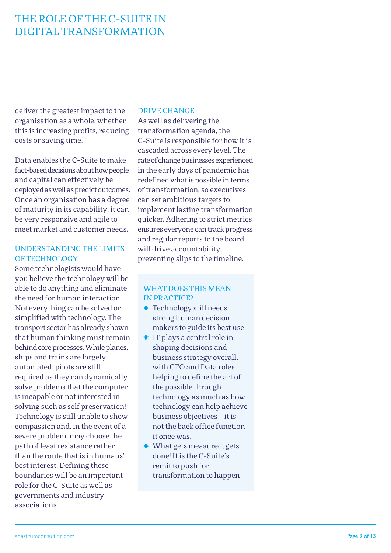### THE ROLE OF THE C-SUITE IN DIGITAL TRANSFORMATION

deliver the greatest impact to the organisation as a whole, whether this is increasing profits, reducing costs or saving time.

Data enables the C-Suite to make fact-based decisions about how people and capital can effectively be deployed as well as predict outcomes. Once an organisation has a degree of maturity in its capability, it can be very responsive and agile to meet market and customer needs.

#### UNDERSTANDING THE LIMITS OF TECHNOLOGY

Some technologists would have you believe the technology will be able to do anything and eliminate the need for human interaction. Not everything can be solved or simplified with technology. The transport sector has already shown that human thinking must remain behind core processes. While planes, ships and trains are largely automated, pilots are still required as they can dynamically solve problems that the computer is incapable or not interested in solving such as self preservation! Technology is still unable to show compassion and, in the event of a severe problem, may choose the path of least resistance rather than the route that is in humans' best interest. Defining these boundaries will be an important role for the C-Suite as well as governments and industry associations.

#### DRIVE CHANGE

As well as delivering the transformation agenda, the C-Suite is responsible for how it is cascaded across every level. The rate of change businesses experienced in the early days of pandemic has redefined what is possible in terms of transformation, so executives can set ambitious targets to implement lasting transformation quicker. Adhering to strict metrics ensures everyone can track progress and regular reports to the board will drive accountability, preventing slips to the timeline.

- ✸ Technology still needs strong human decision makers to guide its best use
- ✸ IT plays a central role in shaping decisions and business strategy overall, with CTO and Data roles helping to define the art of the possible through technology as much as how technology can help achieve business objectives – it is not the back office function it once was.
- ✸ What gets measured, gets done! It is the C-Suite's remit to push for transformation to happen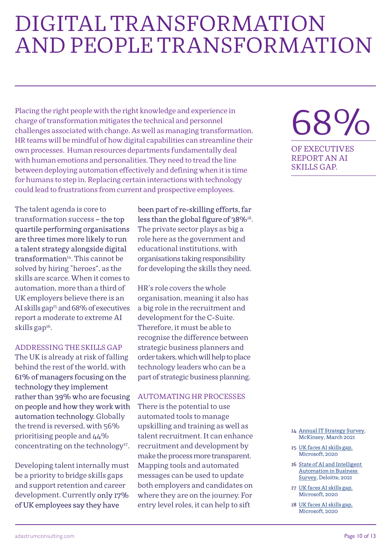### DIGITAL TRANSFORMATION AND PEOPLE TRANSFORMATION

Placing the right people with the right knowledge and experience in charge of transformation mitigates the technical and personnel challenges associated with change. As well as managing transformation, HR teams will be mindful of how digital capabilities can streamline their own processes. Human resources departments fundamentally deal with human emotions and personalities. They need to tread the line between deploying automation effectively and defining when it is time for humans to step in. Replacing certain interactions with technology could lead to frustrations from current and prospective employees.

The talent agenda is core to transformation success – the top quartile performing organisations are three times more likely to run a talent strategy alongside digital transformation<sup>14</sup>. This cannot be solved by hiring "heroes", as the skills are scarce. When it comes to automation, more than a third of UK employers believe there is an AI skills gap<sup>15</sup> and 68% of executives report a moderate to extreme AI skills gap<sup>16</sup>.

#### ADDRESSING THE SKILLS GAP

The UK is already at risk of falling behind the rest of the world, with 61% of managers focusing on the technology they implement rather than 39% who are focusing on people and how they work with automation technology. Globally the trend is reversed, with 56% prioritising people and 44% concentrating on the technology<sup>17</sup>.

Developing talent internally must be a priority to bridge skills gaps and support retention and career development. Currently only 17% of UK employees say they have

#### been part of re-skilling efforts, far less than the global figure of 38%<sup>18</sup>.

The private sector plays as big a role here as the government and educational institutions, with organisations taking responsibility for developing the skills they need.

HR's role covers the whole organisation, meaning it also has a big role in the recruitment and development for the C-Suite. Therefore, it must be able to recognise the difference between strategic business planners and order takers, which will help to place technology leaders who can be a part of strategic business planning.

#### AUTOMATING HR PROCESSES

There is the potential to use automated tools to manage upskilling and training as well as talent recruitment. It can enhance recruitment and development by make the process more transparent. Mapping tools and automated messages can be used to update both employers and candidates on where they are on the journey. For entry level roles, it can help to sift

### 68% OF EXECUTIVES REPORT AN AI

SKILLS GAP.

14 [Annual IT Strategy Survey,](https://www.mckinsey.com/business-functions/mckinsey-digital/our-insights/seven-lessons-on-how-technology-transformations-can-deliver-value) McKinsey, March 2021

- 15 [UK faces AI skills gap,](https://news.microsoft.com/en-gb/2020/08/11/uk-faces-ai-skills-gap-microsoft-report-reveals/) Microsoft, 2020
- 16 [State of AI and Intelligent](https://www2.deloitte.com/us/en/insights/focus/cognitive-technologies/state-of-ai-and-intelligent-automation-in-business-survey.html)  [Automation in Business](https://www2.deloitte.com/us/en/insights/focus/cognitive-technologies/state-of-ai-and-intelligent-automation-in-business-survey.html)  [Survey](https://www2.deloitte.com/us/en/insights/focus/cognitive-technologies/state-of-ai-and-intelligent-automation-in-business-survey.html), Deloitte, 2021
- 17 [UK faces AI skills gap,](https://news.microsoft.com/en-gb/2020/08/11/uk-faces-ai-skills-gap-microsoft-report-reveals/) Microsoft, 2020
- 18 [UK faces AI skills gap,](https://news.microsoft.com/en-gb/2020/08/11/uk-faces-ai-skills-gap-microsoft-report-reveals/) Microsoft, 2020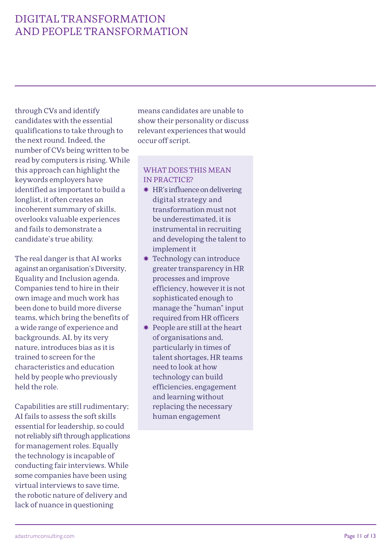### DIGITAL TRANSFORMATION AND PEOPLE TRANSFORMATION

through CVs and identify candidates with the essential qualifications to take through to the next round. Indeed, the number of CVs being written to be read by computers is rising. While this approach can highlight the keywords employers have identified as important to build a longlist, it often creates an incoherent summary of skills, overlooks valuable experiences and fails to demonstrate a candidate's true ability.

The real danger is that AI works against an organisation's Diversity, Equality and Inclusion agenda. Companies tend to hire in their own image and much work has been done to build more diverse teams, which bring the benefits of a wide range of experience and backgrounds. AI, by its very nature, introduces bias as it is trained to screen for the characteristics and education held by people who previously held the role.

Capabilities are still rudimentary; AI fails to assess the soft skills essential for leadership, so could not reliably sift through applications for management roles. Equally the technology is incapable of conducting fair interviews. While some companies have been using virtual interviews to save time, the robotic nature of delivery and lack of nuance in questioning

means candidates are unable to show their personality or discuss relevant experiences that would occur off script.

- ✸ HR's influence on delivering digital strategy and transformation must not be underestimated, it is instrumental in recruiting and developing the talent to implement it
- ✸ Technology can introduce greater transparency in HR processes and improve efficiency, however it is not sophisticated enough to manage the "human" input required from HR officers
- ✸ People are still at the heart of organisations and, particularly in times of talent shortages, HR teams need to look at how technology can build efficiencies, engagement and learning without replacing the necessary human engagement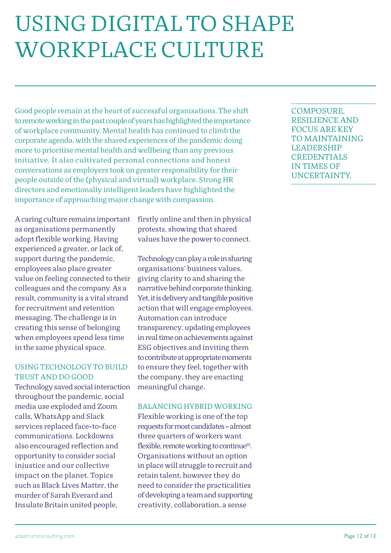## USING DIGITAL TO SHAPE WORKPLACE CULTURE

Good people remain at the heart of successful organisations. The shift to remote working in the past couple of years has highlighted the importance of workplace community. Mental health has continued to climb the corporate agenda, with the shared experiences of the pandemic doing more to prioritise mental health and wellbeing than any previous initiative. It also cultivated personal connections and honest conversations as employers took on greater responsibility for their people outside of the (physical and virtual) workplace. Strong HR directors and emotionally intelligent leaders have highlighted the importance of approaching major change with compassion.

A caring culture remains important as organisations permanently adopt flexible working. Having experienced a greater, or lack of, support during the pandemic, employees also place greater value on feeling connected to their colleagues and the company. As a result, community is a vital strand for recruitment and retention messaging. The challenge is in creating this sense of belonging when employees spend less time in the same physical space.

#### USING TECHNOLOGY TO BUILD TRUST AND DO GOOD

Technology saved social interaction throughout the pandemic, social media use exploded and Zoom calls, WhatsApp and Slack services replaced face-to-face communications. Lockdowns also encouraged reflection and opportunity to consider social injustice and our collective impact on the planet. Topics such as Black Lives Matter, the murder of Sarah Everard and Insulate Britain united people,

firstly online and then in physical protests, showing that shared values have the power to connect.

Technology can play a role in sharing organisations' business values, giving clarity to and sharing the narrative behind corporate thinking. Yet, it is delivery and tangible positive action that will engage employees. Automation can introduce transparency, updating employees in real time on achievements against ESG objectives and inviting them to contribute at appropriate moments to ensure they feel, together with the company, they are enacting meaningful change.

#### BALANCING HYBRID WORKING

Flexible working is one of the top requests for most candidates – almost three quarters of workers want flexible, remote working to continue<sup>19</sup>. Organisations without an option in place will struggle to recruit and retain talent, however they do need to consider the practicalities of developing a team and supporting creativity, collaboration, a sense

COMPOSURE, RESILIENCE AND FOCUS ARE KEY TO MAINTAINING LEADERSHIP **CREDENTIALS** IN TIMES OF UNCERTAINTY.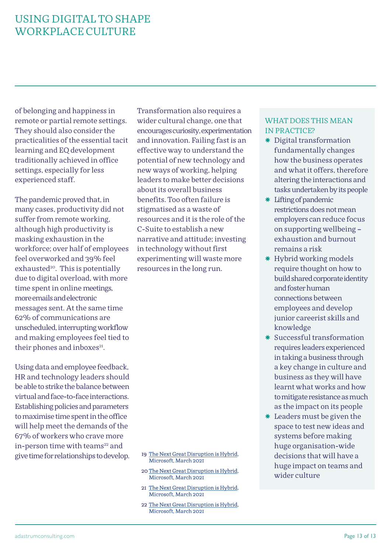### USING DIGITAL TO SHAPE WORKPLACE CULTURE

of belonging and happiness in remote or partial remote settings. They should also consider the practicalities of the essential tacit learning and EQ development traditionally achieved in office settings, especially for less experienced staff.

The pandemic proved that, in many cases, productivity did not suffer from remote working, although high productivity is masking exhaustion in the workforce; over half of employees feel overworked and 39% feel exhausted $20$ . This is potentially due to digital overload, with more time spent in online meetings, more emails and electronic messages sent. At the same time 62% of communications are unscheduled, interrupting workflow and making employees feel tied to their phones and inboxes<sup>21</sup>.

Using data and employee feedback, HR and technology leaders should be able to strike the balance between virtual and face-to-face interactions. Establishing policies and parameters to maximise time spent in the office will help meet the demands of the 67% of workers who crave more in-person time with teams<sup>22</sup> and give time for relationships to develop. Transformation also requires a wider cultural change, one that encourages curiosity, experimentation and innovation. Failing fast is an effective way to understand the potential of new technology and new ways of working, helping leaders to make better decisions about its overall business benefits. Too often failure is stigmatised as a waste of resources and it is the role of the C-Suite to establish a new narrative and attitude; investing in technology without first experimenting will waste more resources in the long run.

#### 19 [The Next Great Disruption is Hybrid](https://www.microsoft.com/en-us/worklab/work-trend-index/hybrid-work), Microsoft, March 2021

- 20 [The Next Great Disruption is Hybrid](https://www.microsoft.com/en-us/worklab/work-trend-index/hybrid-work), Microsoft, March 2021
- 21 [The Next Great Disruption is Hybrid](https://www.microsoft.com/en-us/worklab/work-trend-index/hybrid-work), Microsoft, March 2021
- 22 [The Next Great Disruption is Hybrid](https://www.microsoft.com/en-us/worklab/work-trend-index/hybrid-work), Microsoft, March 2021

- ✸ Digital transformation fundamentally changes how the business operates and what it offers, therefore altering the interactions and tasks undertaken by its people
- ✸ Lifting of pandemic restrictions does not mean employers can reduce focus on supporting wellbeing – exhaustion and burnout remains a risk
- ✸ Hybrid working models require thought on how to build shared corporate identity and foster human connections between employees and develop junior careerist skills and knowledge
- ✸ Successful transformation requires leaders experienced in taking a business through a key change in culture and business as they will have learnt what works and how to mitigate resistance as much as the impact on its people
- ✸ Leaders must be given the space to test new ideas and systems before making huge organisation-wide decisions that will have a huge impact on teams and wider culture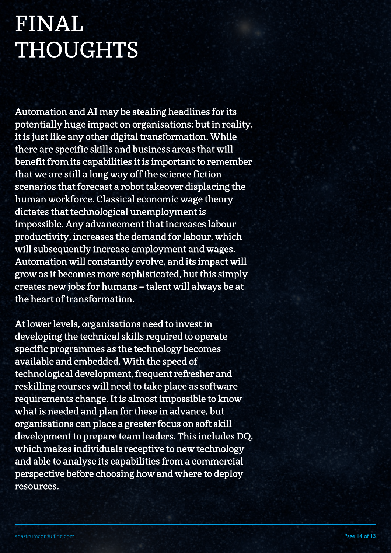# FINAL THOUGHTS

Automation and AI may be stealing headlines for its potentially huge impact on organisations; but in reality, it is just like any other digital transformation. While there are specific skills and business areas that will benefit from its capabilities it is important to remember that we are still a long way off the science fiction scenarios that forecast a robot takeover displacing the human workforce. Classical economic wage theory dictates that technological unemployment is impossible. Any advancement that increases labour productivity, increases the demand for labour, which will subsequently increase employment and wages. Automation will constantly evolve, and its impact will grow as it becomes more sophisticated, but this simply creates new jobs for humans – talent will always be at the heart of transformation.

At lower levels, organisations need to invest in developing the technical skills required to operate specific programmes as the technology becomes available and embedded. With the speed of technological development, frequent refresher and reskilling courses will need to take place as software requirements change. It is almost impossible to know what is needed and plan for these in advance, but organisations can place a greater focus on soft skill development to prepare team leaders. This includes DQ, which makes individuals receptive to new technology and able to analyse its capabilities from a commercial perspective before choosing how and where to deploy resources.